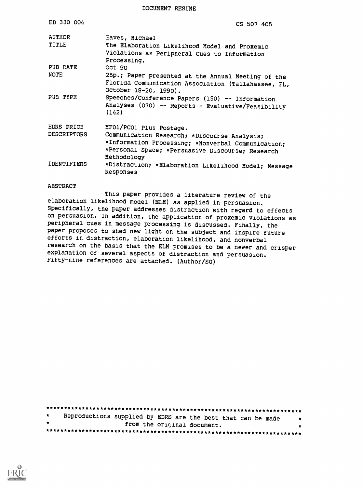DOCUMENT RESUME

| ED 330 004                       | CS 507 405                                                                                                                                                                                       |
|----------------------------------|--------------------------------------------------------------------------------------------------------------------------------------------------------------------------------------------------|
| <b>AUTHOR</b><br>TITLE           | Eaves, Michael<br>The Elaboration Likelihood Model and Proxemic<br>Violations as Peripheral Cues to Information<br>Processing.                                                                   |
| PUB DATE                         | Oct 90                                                                                                                                                                                           |
| <b>NOTE</b>                      | 25p.; Paper presented at the Annual Meeting of the<br>Florida Communication Association (Tallahassee, FL,<br>October 18-20, 1990).                                                               |
| PUB TYPE                         | Speeches/Conference Papers (150) -- Information<br>Analyses (070) -- Reports - Evaluative/Feasibility<br>(142)                                                                                   |
| EDRS PRICE<br><b>DESCRIPTORS</b> | MFO1/PCO1 Plus Postage.<br>Communication Research; *Discourse Analysis;<br>*Information Processing; *Nonverbal Communication;<br>*Personal Space; *Persuasive Discourse; Research<br>Methodology |
| <b>IDENTIFIERS</b>               | *Distraction; *Elaboration Likelihood Model; Message<br>Responses                                                                                                                                |

#### **ABSTRACT**

This paper provides a literature review of the elaboration likelihood model (ELM) as applied in persuasion. Specifically, the paper addresses distraction with regard to effects on persuasion. In addition, the application of proxemic violations as peripheral cues in message processing is discussed. Finally, the paper proposes to shed new light on the subject and inspire future efforts in distraction, elaboration likelihood, and nonverbal research on the basis that the ELM promises to be a newer and crisper explanation of several aspects of distraction and persuasion. Fifty-nine references are attached. (Author/SG)

| $\star$ |  | Reproductions supplied by EDRS are the best that can be made | $\ddot{\phantom{1}}$ |
|---------|--|--------------------------------------------------------------|----------------------|
|         |  | from the original document.                                  |                      |
|         |  |                                                              |                      |

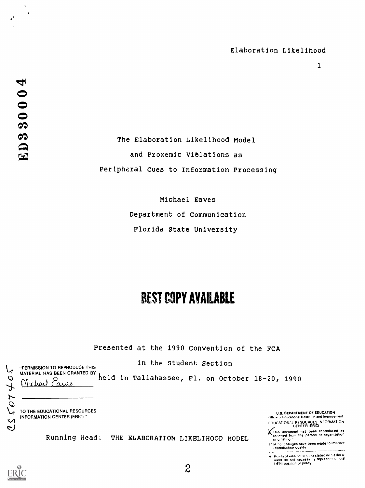$\mathbf{1}$ 

 $\rightarrow$ 

The Elaboration Likelihood Model and Proxemic ViBlations as Peripheral Cues to Information Processing

> Michael Eaves Department of Communication Florida State University

# BEST COPY AVAILABLE

Presented at the 1990 Convention of the FCA

in the Student Section

"PERMISSION TO REPRODUCE THIS MATERIAL HAS BEEN GRANTED BY しん

Michael Carres held in Tallahassee, Fl. on October 18-20, 1990

 $2\overline{2}$ 

TO THE EDUCATIONAL RESOURCES INFORMATION CENTER (ERIC)."

U S. OFPARTMENT OF EDUCATION (Office of Educational Reserve than dimprovement) EDUCATION/4 RE SOURCES INFORMATION CENTER (ERIC)

**K**This document has been reproduced as  $\frac{1}{2}$ 

feproductIOn Quality - --

Points of view or opinions stated in this docu:<br>ment: do. not: necessarily: represent: official<br>OE HI position or policy

Running Head: THE ELABORATION LIKELIHOOD MODEL Computing at



 $707$ 

 $\mathsf{C}$ D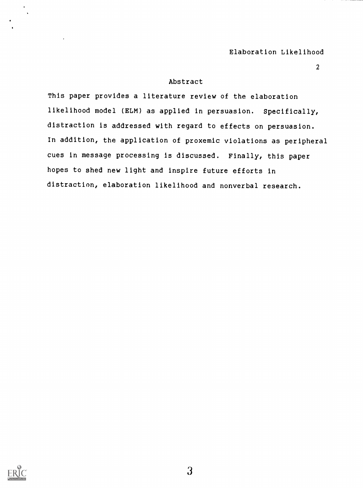2

# Abstract

This paper provides a literature review of the elaboration likelihood model (ELM) as applied in persuasion. Specifically, distraction is addressed with regard to effects on persuasion. In addition, the application of proxemic violations as peripheral cues in message processing is discussed. Finally, this paper hopes to shed new light and inspire future efforts in distraction, elaboration likelihood and nonverbal research.

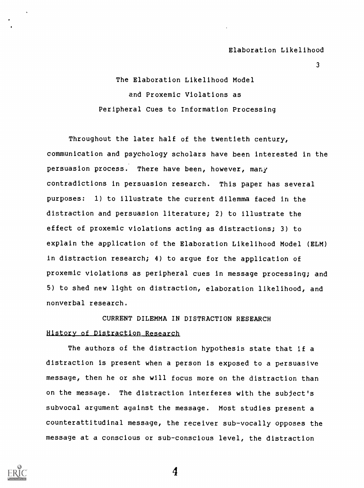3

The Elaboration Likelihood Model and Proxemic Violations as Peripheral Cues to Information Processing

Throughout the later half of the twentieth century, communication and psychology scholars have been interested in the persuasion process. There have been, however, many contradictions in persuasion research. This paper has several purposes: 1) to illustrate the current dilemma faced in the distraction and persuasion literature; 2) to illustrate the effect of proxemic violations acting as distractions; 3) to explain the application of the Elaboration Likelihood Model (ELM) in distraction research; 4) to argue for the application of proxemic violations as peripheral cues in message processing; and 5) to shed new light on distraction, elaboration likelihood, and nonverbal research.

# CURRENT DILEMMA IN DISTRACTION RESEARCH History of Distraction Research

The authors of the distraction hypothesis state that if a distraction is present when a person is exposed to a persuasive message, then he or she will focus more on the distraction than on the message. The distraction interferes with the subject's subvocal argument against the message. Most studies present a counterattitudinal message, the receiver sub-vocally opposes the message at a conscious or sub-conscious level, the distraction

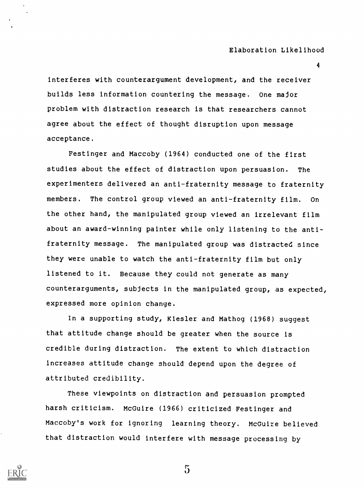4

interferes with counterargument development, and the receiver builds less information countering the message. One major problem with distraction research is that researchers cannot agree about the effect of thought disruption upon message acceptance.

Festinger and Maccoby (1964) conducted one of the first studies about the effect of distraction upon persuasion. The experimenters delivered an anti-fraternity message to fraternity members. The control group viewed an anti-fraternity film. On the other hand, the manipulated group viewed an irrelevant film about an award-winning painter while only listening to the antifraternity message. The manipulated group was distracted since they were unable to watch the anti-fraternity film but only listened to it. Because they could not generate as many counterarguments, subjects in the manipulated group, as expected, expressed more opinion change.

In a supporting study, Kiesler and Mathog (1968) suggest that attitude change should be greater when the source is credible during distraction. The extent to which distraction increases attitude change should depend upon the degree of attributed credibility.

These viewpoints on distraction and persuasion prompted harsh criticism. McGuire (1966) criticized Festinger and Maccoby's work for ignoring learning theory. McGuire believed that distraction would interfere with message processing by

 $\mathfrak{S}$ 

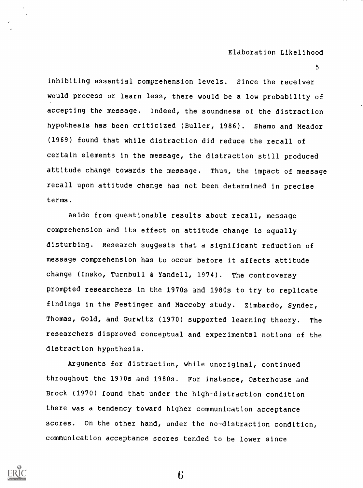5

inhibiting essential comprehension levels. Since the receiver would process or learn less, there would be a low probability of accepting the message. Indeed, the soundness of the distraction hypothesis has been criticized (Buller, 1986). Shamo and Meador (1969) found that while distraction did reduce the recall of certain elements in the message, the distraction still produced attitude change towards the message. Thus, the impact of message recall upon attitude change has not been determined in precise terms.

Aside from questionable results about recall, message comprehension and its effect on attitude change is equally disturbing. Research suggests that a significant reduction of message comprehension has to occur before it affects attitude change (Insko, Turnbull & Yandell, 1974). The controversy prompted researchers in the 1970s and 1980s to try to replicate findings in the Festinger and Maccoby study. Zimbardo, Synder, Thomas, Gold, and Gurwitz (1970) supported learning theory. The researchers disproved conceptual and experimental notions of the distraction hypothesis.

Arguments for distraction, while unoriginal, continued throughout the 1970s and 1980s. For instance, Osterhouse and Brock (1970) found that under the high-distraction condition there was a tendency toward higher communication acceptance scores. On the other hand, under the no-distraction condition, communication acceptance scores tended to be lower since

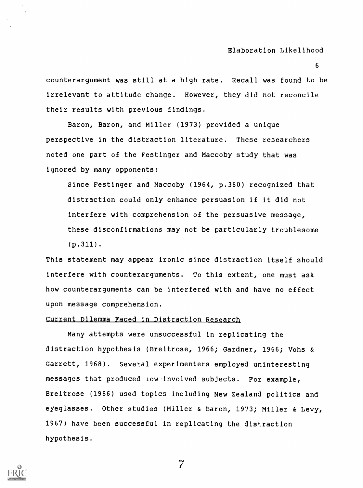counterargument was still at a high rate. Recall was found to be irrelevant to attitude change. However, they did not reconcile their results with previous findings.

Baron, Baron, and Miller (1973) provided a unique perspective in the distraction literature. These researchers noted one part of the Festinger and Maccoby study that was ignored by many opponents:

Since Festinger and Maccoby (1964, p.360) recognized that distraction could only enhance persuasion if it did not interfere with comprehension of the persuasive message, these disconfirmations may not be particularly troublesome (p.311).

This statement may appear ironic since distraction itself should interfere with counterarguments. To this extent, one must ask how counterarguments can be interfered with and have no effect upon message comprehension.

# Current Dilemma Faced in\_DistractIon Research

Many attempts were unsuccessful in replicating the distraction hypothesis (Breitrose, 1966; Gardner, 1966; Vohs & Garrett, 1968). Several experimenters employed uninteresting messages that produced low-involved subjects. For example, Breitrose (1966) used topics including New Zealand politics and eyeglasses. Other studies (Miller & Baron, 1973; Miller & Levy, 1967) have been successful in replicating the distraction hypothesis.

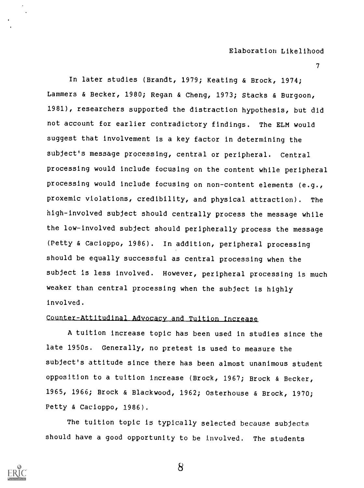$\boldsymbol{I}$  and  $\boldsymbol{I}$  and  $\boldsymbol{I}$ 

In later studies (Brandt, 1979; Keating & Brock, 1974; Lammers & Becker, 1980; Regan & Cheng, 1973; Stacks & Burgoon, 1981), researchers supported the distraction hypothesis, but did not account for earlier contradictory findings. The ELM would suggest that involvement is a key factor in determining the subject's message processing, central or peripheral. Central processing would include focusing on the content while peripheral processing would include focusing on non-content elements (e.g., proxemic violations, credibility, and physical attraction). The high-involved subject should centrally process the message while the low-involved subject should peripherally process the message (Petty & Cacioppo, 1986). In addition, peripheral processing should be equally successful as central processing when the subject is less involved. However, peripheral processing is much weaker than central processing when the subject is highly involved.

# Counter-Attitudinal Adyocacy and Tuition Increase.

A tuition increase topic has been used in studies since the late 1950s. Generally, no pretest is used to measure the subject's attitude since there has been almost unanimous student opposition to a tuition increase (Brock, 1967; Brock & Becker, 1965, 1966; Brock & Blackwood, 1962; Osterhouse & Brock, 1970; Petty & Cacioppo, 1986).

The tuition topic is typically selected because subjects should have a good opportunity to be Involved. The students

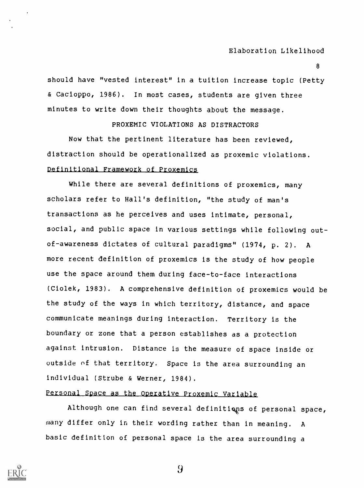8

should have "vested interest" in a tuition increase topic (Petty & Cacioppo, 1986). In most cases, students are given three minutes to write down their thoughts about the message.

PROXEMIC VIOLATIONS AS DISTRACTORS

Now that the pertinent literature has been reviewed, distraction should be operationalized as proxemic violations. Definitional Framewark of Proxemics

While there are several definitions of proxemics, many scholars refer to Hall's definition, "the study of man's transactions as he perceives and uses intimate, personal, social, and public space in various settings while following outof-awareness dictates of cultural paradigms" (1974, p. 2). A more recent definition of proxemics is the study of how people use the space around them during face-to-face interactions (Ciolek, 1983). A comprehensive definition of proxemics would be the study of the ways in which territory, distance, and space communicate meanings during interaction. Territory is the boundary or zone that a person establishes as a protection against intrusion. Distance is the measure of space inside or outside of that territory. Space is the area surrounding an individual (Strube & Werner, 1984).

# Personal Space as the Operative Proxemic Variable

Although one can find several definitiens of personal space, many differ only in their wording rather than in meaning. A basic definition of personal space is the area surrounding a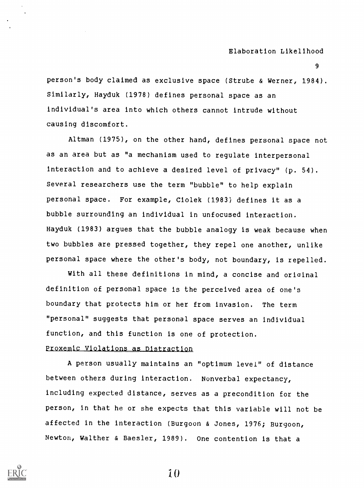9

person's body claimed as exclusive space (Strube & Werner, 1984). Similarly, Hayduk (1978) defines personal space as an individual's area into which others cannot intrude without causing discomfort.

Altman (1975), on the other hand, defines personal space not as an area but as "a mechanism used to regulate interpersonal interaction and to achieve a desired level of privacy" (p. 54). Several researchers use the term "bubble" to help explain personal space. For example, Ciolek (1983) defines it as a bubble surrounding an individual in unfocused interaction. Hayduk (1983) argues that the bubble analogy is weak because when two bubbles are pressed together, they repel one another, unlike personal space where the other's body, not boundary, is repelled.

With all these definitions in mind, a concise and oriainal definition of personal space is the perceived area of one's boundary that protects him or her from invasion. The term "personal" suggests that personal space serves an individual function, and this function is one of protection.

# Proxemic Violations as Distraction

A person usually maintains an "optimum level" of distance between others during interaction. Nunverba1 expectancy, including expected distance, serves as a precondition for the person, in that he or she expects that this variable will not be affected in the interaction (Burgoon & Jones, 1976; Burgoon, Newton, Walther & Baesler, 1989). One contention is that a

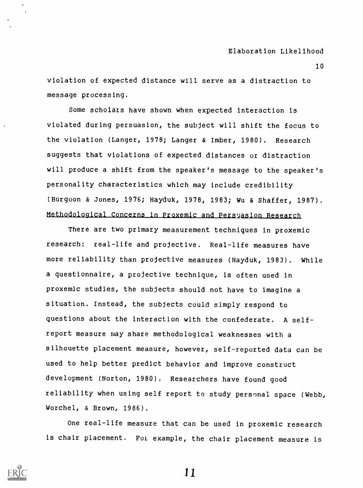violation of expected distance will serve as a distraction to message processing.

Some scholars have shown when expected interaction is violated during persuasion, the subject will shift the focus to the violation (Langer, 1978; Langer & Imber, 1980). Research suggests that violations of expected distances or distraction will produce a shift from the speaker's message to the speaker's personality characteristics which may include credibility (Burgoon & Jones, 1976; Hayduk, 1978, 1983; Wu & Shaffer, 1987). Methodological Concerns in Proxemic and Persyasion Research

There are two primary measurement techniques in proxemic research: real-life and projective. Real-life measures have more reliability than projective measures (Hayduk, 1983). While a questionnaire, a proJective technique, is often used in proxemic studies, the subjects should not have to imagine a situation. Instead, the subjects could simply respond to questions about the interaction with the confederate. A selfreport measure may share methodological weaknesses with a silhouette placement measure, however, self-reported data can be used to help better predict behavior and improve construct development (Norton, 1980). Researchers have found good reliability when using self report to study personal space (Webb, Worchel, & Brown, 1986).

One real-life measure that can be used in proxemic research is chair placement. For example, the chair placement measure is

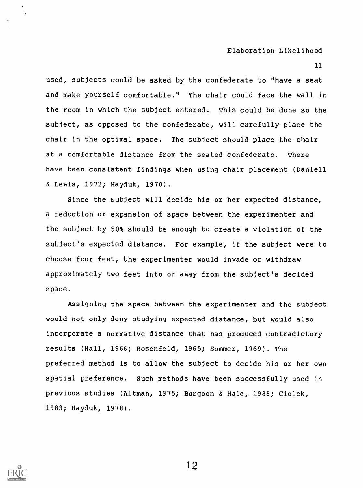11

used, subjects could be asked by the confederate to "have a seat and make yourself comfortable." The chair could face the wall in the room in which the subject entered. This could be done so the subject, as opposed to the confederate, will carefully place the chair in the optimal space. The subject should place the chair at a comfortable distance from the seated confederate. There have been consistent findings when using chair placement (Daniell & Lewis, 1972; Hayduk, 1978).

Since the bubject will decide his or her expected distance, a reduction or expansion of space between the experimenter and the subject by 50% should be enough to create a violation of the subject's expected distance. For example, if the subject were to choose four feet, the experimenter would invade or withdraw approximately two feet into or away from the subject's decided space.

Assigning the space between the experimenter and the subject would not only deny studying expected distance, but would also incorporate a normative distance that has produced contradictory results (Hall, 1966; Rosenfeld, 1965; Sommer, 1969) . The preferred method is to allow the subject to decide his or her own spatial preference. Such methods have been successfully used in previous studies (Altman, 1975; Burgoon & Hale, 1988; Ciolek, 1983; Hayduk, 1978).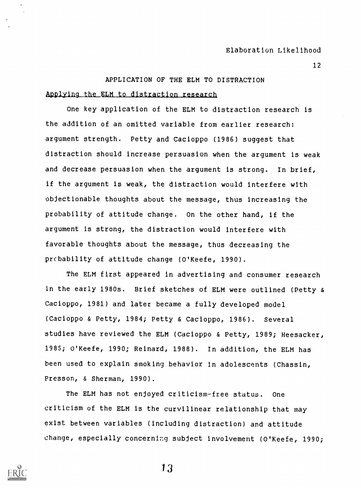#### APPLICATION OF THE ELM TO DISTRACTION

#### Applying the ELM to distraction research

One key application of the ELM to distraction research is the addition of an omitted variable from earlier research: argument strength. Petty and Cacioppo (1986) suggest that distraction should increase persuasion when the argument is weak and decrease persuasion when the argument is strong. In brief, if the argument is weak, the distraction would interfere with objectionable thoughts about the message, thus increasing the probability of attitude change. On the other hand, if the argument is strong, the distraction would interfere with favorable thoughts about the message, thus decreasing the prcbability of attitude change (O'Keefe, 1990).

The ELM first appeared in advertising and consumer research in the early 1980s. Brief sketches of ELM were outlined (Petty & Cacioppo, 1981) and later became a fully developed model (Cacioppo & Petty, 1984; Petty & Cacioppo, 1986). Several studies have reviewed the ELM (Cacioppo & Petty, 1989; Heesacker, 1985; O'Keefe, 1990; Reinard, 1988). In addition, the ELM has been used to explain smoking behavior in adolescents (Chassin, Presson, & Sherman, 1990).

The ELM has not enjoyed criticism-free status. One criticism of the ELM is the curvilinear relationship that may exist between variables (including distraction) and attitude change, especially concerning subject involvement (O'Keefe, 1990;

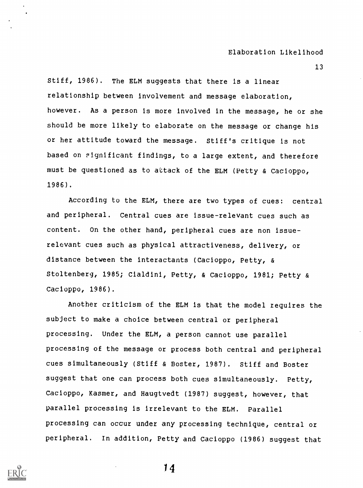13

Stiff, 1986). The ELM suggests that there is a linear relationship between involvement and message elaboration, however. As a person is more involved in the message, he or she should be more likely to elaborate on the message or change his or her attitude toward the message. Stiff's critique is not based on Fignificant findings, to a large extent, and therefore must be questioned as to attack of the ELM (Petty & Cacioppo, 1986).

According to the ELM, there are two types of cues: central and peripheral. Central cues are issue-relevant cues such as content. On the other hand, peripheral cues are non issuerelevant cues such as physical attractiveness, delivery, or distance between the interactants (Cacioppo, Petty, & Stoltenberg, 1985; Cialdini, Petty, & Cacioppo, 1981; Petty & Cacioppo, 1986).

Another criticism of the ELM is that the model requires the subject to make a choice between central or peripheral processing. Under the ELM, a person cannot use parallel processing of the message or process both central and peripheral cues simultaneously (Stiff & Boster, 1987). Stiff and Boster suggest that one can process both cues simultaneously. Petty, Cacioppo, Kasmer, and Haugtvedt (1987) suggest, however, that parallel processing is irrelevant to the ELM. Parallel processing can occur under any processing technique, central or peripheral. In addition, Petty and Cacioppo (1986) suggest that

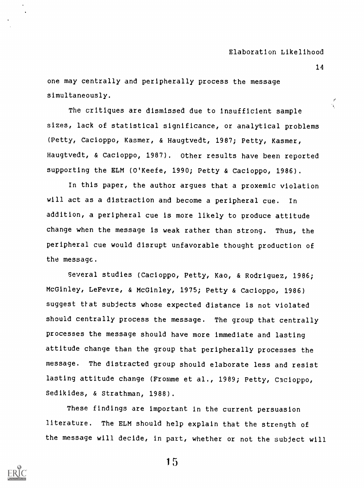one may centrally and peripherally process the message simultaneously.

 $\begin{array}{c} \texttt{canevery.} \ \hline \end{array}$ sizes, lack of statistical significance, or analytical problems (Petty, Cacioppo, Kasmer, & Haugtvedt, 1987; Petty, Kasmer, Haugtvedt, & Cacioppo, 1987). Other results have been reported supporting the ELM (O'Keefe, 1990; Petty & Cacioppo, 1986).

In this paper, the author argues that a proxemic violation will act as a distraction and become a peripheral cue. In addition, a peripheral cue is more likely to produce attitude change when the message is weak rather than strong. Thus, the peripheral cue would disrupt unfavorable thought production of the message.

Several studies (Cacioppo, Petty, Kao, & Rodriguez, 1986; McGinley, LeFevre, & McGinley, 1975; Petty & Cacioppo, 1986) suggest that subjects whose expected distance is not violated should centrally process the message. The group that centrally processes the message should have more immediate and lasting attitude change than the group that peripherally processes the message. The distracted group should elaborate less and resist lasting attitude change (Fromme et al., 1989; Petty, Cacioppo, Sedikides, & Strathman, 1988).

These findings are important in the current persuasion literature. The ELM should help explain that the strength of the message will decide, in part, whether or not the subject will



1 5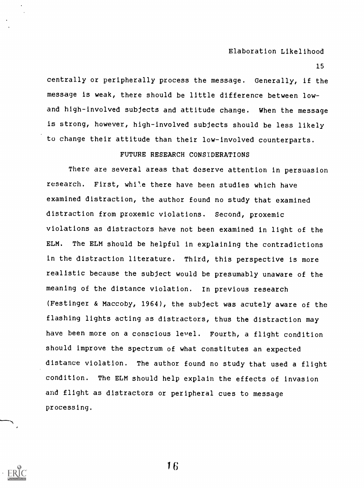15

centrally or peripherally process the message. Generally, if the message is weak, there should be little difference between lowand high-involved subjects and attitude change. When the message is strong, however, high-involved subjects should be less likely to change their attitude than their low-involved counterparts.

# FUTURE RESEARCH CONSIDERATIONS

There are several areas that deserve attention in persuasion research. First, whi'.e there have been studies which have examined distraction, the author found no study that examined distraction from proxemic violations. Second, proxemic violations as distractors have not been examined in light of the ELM. The ELM should be helpful in explaining the contradictions in the distraction literature. Third, this perspective is more realistic because the subject would be presumably unaware of the meaning of the distance violation. In previous research (Festinger & Maccoby, 1964), the subject was acutely aware of the flashing lights acting as distractors, thus the distraction may have been more on a conscious level. Fourth, a flight condition should improve the spectrum of what constitutes an expected distance violation. The author found no study that used a flight condition. The ELM should help explain the effects of invasion and flight as distractors or peripheral cues to message processing.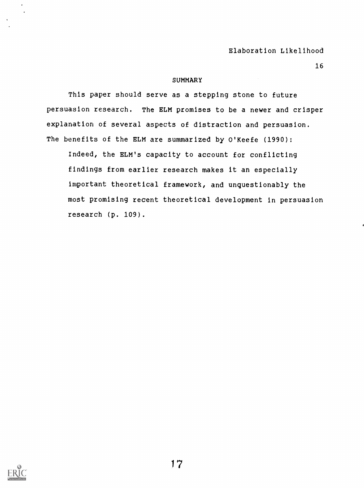16

#### **SUMMARY**

This paper should serve as a stepping stone to future persuasion research. The ELM promises to be a newer and crisper explanation of several aspects of distraction and persuasion. The benefits of the ELM are summarized by O'Keefe (1990):

Indeed, the ELM's capacity to account for conflicting findings from earlier research makes it an especially important theoretical framework, and unquestionably the most promising recent theoretical development in persuasion research (p. 109).

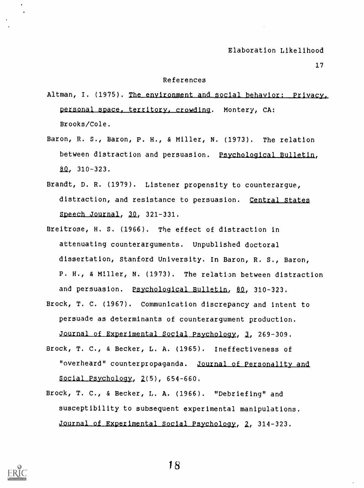17

#### References

- Altman, I. (1975). The environment and social behavio personal space, territory, crowding. Montery, CA: Brooks/Cole.
- Baron, R. S., Baron, P. H., & Miller, N. (1973). The relation between distraction and persuasion. Psychological Bulletin,  $80, 310 - 323.$
- Brandt, D. R. (1979). Listener propensity to counterargue, distraction, and resistance to persuasion. Central States  $Speech Journal, 30, 321-331.$
- Breitrose, H. S. (1966). The effect of distraction in attenuating counterarguments. Unpublished doctoral dissertation, Stanford University. In Baron, R. S., Baron, P. H., & Miller, N. (1973). The relation between distraction and persuasion. Psychological Bulletin, 80, 310-323.
- Brock, T. C. (1967). Communication discrepancy and intent to persuade as determinants of counterargument production. Journal of Experimental Social Psychology, 3, 269-309.
- Brock, T. C., & Becker, L. A. (1965). Ineffectiveness of "overheard" counterpropaganda. Journal of Personality and Social Psychology,  $2(5)$ , 654-660.
- Brock, T. C., & Becker, L. A. (1966). "Debriefing" and susceptibility to subsequent experimental manipulations. <u>ırnal of Experimental Social Psychology</u>, 2, 314-323.

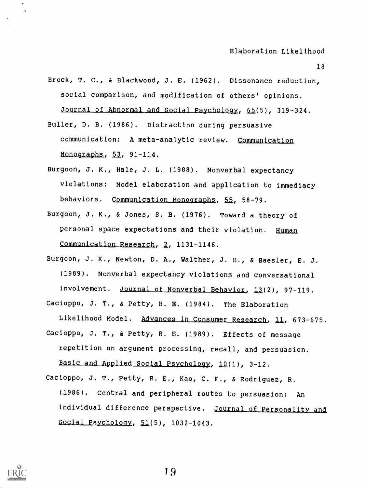18

- Brock, T. C., & Blackwood, J. E. (1962). Dissonance reduction, social comparison, and modification of others' opinions. Journal of Abnormal and Social Psychology, 65(5), 319-324.
- Buller, D. B. (1986). Distraction during persuasive communication: A meta-analytic review. Communication Monographs,  $53, 91-114.$
- Burgoon, J. K., Hale, J. L. (1988). Nonverbal expectancy violations: Model elaboration and application to immediacy behaviors. Communication Monographs, 55, 58-79.
- Burgoon, J. K., & Jones, S. B. (1976). Toward a theory of personal space expectations and their violation. Human Communication Research, 2, 1131-1146.
- Burgoon, J. K., Newton, D. A., Walther, J. B., & Baesler, E. J. (1989). Nonverbal expectancy violations and conversational involvement. Journal of Nonverbal Behavior, 13(2), 97-119. Cacioppo, J. T., & Petty, R. E. (1984). The Elaboration

Likelihood Model. Advances in Consumer Research, 11, 673-675. Cacioppo, J. T., & Petty, R. E. (1989). Effects of message repetition on argument processing, recall, and persuasion.

Basic and Applied Social Psychology, 10(1), 3-12.

Cacioppo, J. T., Petty, R. E., Kao, C. F., & Rodriguez, R. (1986). Central and peripheral routes to persuasion: An individual difference perspective. Journal of Personality and  $Social Psychology, 51(5), 1032-1043.$ 

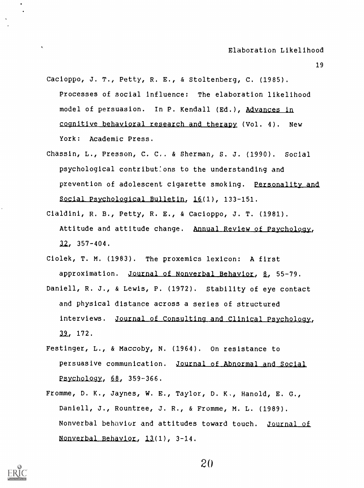- 19
- Cacioppo, J. T., Petty, R. E., & Stoltenberg, C. (1985). Processes of social Influence: The elaboration likelihood model of persuasion. In P. Kendall (Ed.), Advances in cognitive behavioral research\_and therapy (Vol. 4). New York: Academic Press.
- Chassin, L., Presson, C. C.. & Sherman, S. J. (1990). Social psychological contribut:ons to the understanding and prevention of adolescent cigarette smoking. Personality and Social Psychological Bulletin, 16(1), 133-151.
- Cialdini, R. B., Petty, R. E., & Cacioppo, J. T. (1981). Attitude and attitude change. <u>Annual</u>  $32, 357 - 404.$
- Ciolek, T. M. (1983). The proxemics lexicon: A first approximation. Journal of Nonverbal Behavior, 8, 55-79.
- Daniell, R. J., & Lewis, P. (1972). Stability of eye contact and physical distance across a series of structured interviews. Journal of Consulting and Clinical Psychology, 39, 172.
- Festinger, L., & Maccoby, N. (1964). On resistance to persuasive communication. Journal of Abnormal and Social Psychology,  $68$ ,  $359-366$ .
- Fromme, D. K., Jaynes, W. E., Taylor, D. K., Hanold, E. G., Daniell, J., Rountree, J. R., & Fromme, M. L. (1989). Nonverbal behavior and attitudes toward touch. Journal of Nonverbal Behavior,  $13(1)$ ,  $3-14$ .

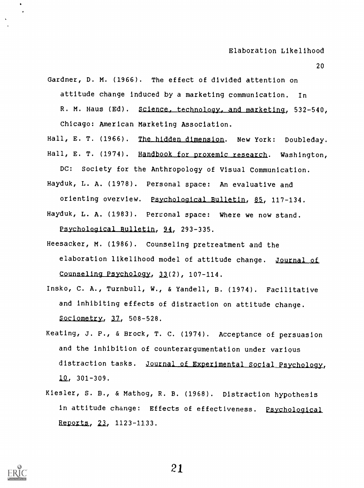20

Gardner, D. M. (1966). The effect of divided attention on

attitude change induced by a marketing communication. In

R. M. Haus (Ed). Science, technology, and marketing, 532-540,

Chicago: American Marketing Association.

Hall, E. T. (1966). The hidden dimension. New York: Doubleday. Hall, E. T. (1974). Handbook for proxemic research. Washington,

DC: Society for the Anthropology of Visual Communication. Hayduk, L. A. (1978). Personal space: An evaluative and

orienting overview. Psychological Bulletin, 85, 117-134.

Hayduk, L. A. (1983). Personal space: Where we now stand. Psychological Bulletin, 94, 293-335.

- Heesacker, M. (1986). Counseling pretreatment and the elaboration likelihood model of attitude change. Journal of Counseling Psychology,  $33(2)$ , 107-114.
- Insko, C. A., Turnbull, W., & Yandell, B. (1974). Facilitative and inhibiting effects of distraction on attitude change. Sociometry,  $37$ ,  $508-528$ .
- Keating, J. P., & Brock, T. C. (1974). Acceptance of persuasion and the inhibition of counterargumentation under various distraction tasks. Journal of Experimental Social Psychology,  $10, 301 - 309.$
- Kiesler, S. B., & Mathog, R. B. (1968). Distraction hypothesis in attitude change: Effects of effectiveness. Psychological Reports, 23, 1123-1133.

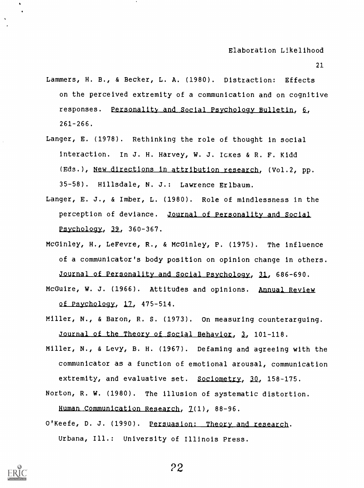- Lammers, H. B., & Becker, L. A. (1980). Distraction: Effects on the perceived extremity of a communication and on cognitive responses. Personality and Social Psychology Bulletin, 6, 261-266.
- Langer, E. (1978). Rethinking the role of thought in social interaction. In J. H. Harvey, W. J. Ickes & R. F. Kidd (Eds.), New directions in attribution research, (Vol.2, pp. 35-58). Hillsdale, N. J.: Lawrence Erlbaum.
- Langer, E. J., & Imber, L. (1980). Role of mindlessness in the perception of deviance. Journal of Personality and Social  $Psychology, 39, 360-367.$
- McGinley, H., LeFevre, R., & McGinley, P. (1975). The influence of a communicator's body position on opinion change in others. Journal of Personality and Social Psychology, 31, 686-690.
- McGuire, W. J. (1966). Attitudes and opinions. Annual Review of Psychology, 12, 475-514.
- Miller, N., & Baron, R. S. (1973). On measuring counterarguing. Journal of the Theory of Social Behavior, 3, 101-118.
- Miller, N., & Levy, B. H. (1967). Defaming and agreeing with the communicator as a function of emotional arousal, communication extremity, and evaluative set. Sociometry, 30, 158-175.
- Norton, R. W. (1980). The illusion of systematic distortion. Human Communication Research, 7(1), 88-96.
- O'Keefe, D. J. (1990). Persuasion: Theory and research. Urbana, Ill.: University of Illinois Press.

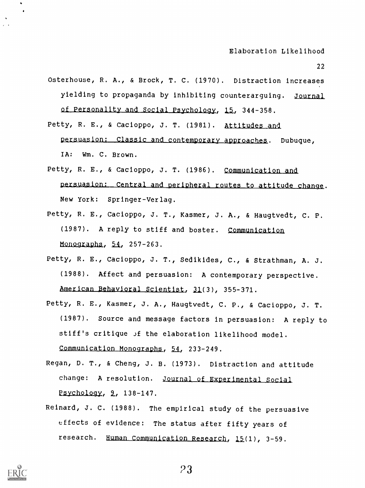- 22
- Osterhouse, R. A., & Brock, T. C. (1970). Distraction increases yielding to propaganda by inhibiting counterarguing. Journal of Personality and Social Psychology, 15, 344-358.
- Petty, R. E., & Cacioppo, J. T. (1981). Attitudes and persuasion: Classic and contemporary approaches. Dubuque, IA: Wm. C. Brown.
- Petty, R. E., & Cacioppo, J. T. (1986). Communication and persuasion: Central and peripheral routes to attitude change. New York: Springer-Verlag.
- Petty, R. E., Cacioppo, J. T., Kasmer, J. A., & Haugtvedt, C. P. (1987). A reply to stiff and boster. Communication Monographs,  $54$ ,  $257-263$ .
- Petty, R. E., Cacioppo, J. T., Sedikides, C., & Strathman, A. J. (1988). Affect and persuasion: A contemporary perspective. American Behavioral Scientist, 31(3), 355-371.
- Petty, R. E., Kasmer, J. A., Haugtvedt, C. P., & Cacioppo, J. T. (1987). Source and message factors in persuasion: A reply to stiff's critique of the elaboration likelihood model. Communication Monographs, 54, 233-249.
- Regan, D. T., & Cheng, J. B. (1973). Distraction and attitude change: A resolution. Journal of Experimental Social Psychology, 2, 138-147.
- Reinard, J. C. (1988). The empirical study of the persuasive effects of evidence: The status after fifty years of research. Human Communication Research, 15(1), 3-59.

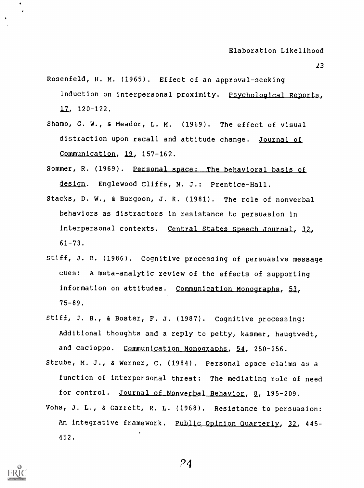- 23
- Rosenfeld, H. M. (1965). Effect of an approval-seeking induction on interpersonal proximity. Psychological Reports, 120-122.
- Shamo, G. W., & Meador, L. M. (1969). The effect of visual distraction upon recall and attitude change. Journal of Communication,  $19$ ,  $157-162$ .
- Sommer, R. (1969). Personal space: The behavioral basis of design. Englewood Cliffs, N. J.: Prentice-Hall.
- Stacks, D. W., & Burgoon, J. K. (1981). The role of nonverbal behaviors as distractors in resistance to persuasion in interpersonal contexts. Central States Speech Journal, 32, 61-73.
- Stiff, J. B. (1986). Cognitive processing of persuasive message cues: A meta-analytic review of the effects of supporting information on attitudes. Communication Monographs, 53, 75-89.
- Stiff, J. B., & Boster, F. J. (1987). Cognitive processing: Additional thoughts and a reply to petty, kasmer, haugtvedt, and cacioppo. Communication Monographs, 54, 250-256.
- Strube, M. J., & Werner, C. (1984). Personal space claims as a function of interpersonal threat: The mediating role of need for control. Journal of Nonverbal Behavior, 8, 195-209.
- Vohs, J. L., & Garrett, R. L. (1968). Resistance to persuasion: An integrative framework. Public Opinion Quarterly, 32, 445-452.